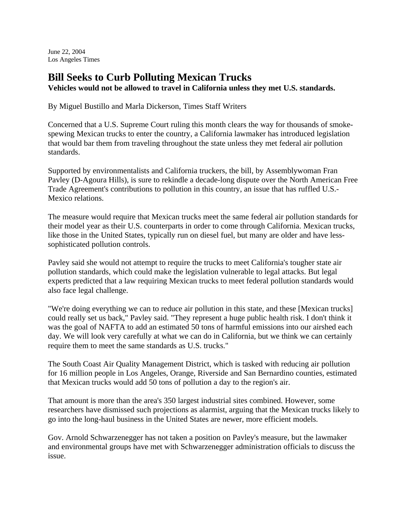June 22, 2004 Los Angeles Times

## **Bill Seeks to Curb Polluting Mexican Trucks**

**Vehicles would not be allowed to travel in California unless they met U.S. standards.**

By Miguel Bustillo and Marla Dickerson, Times Staff Writers

Concerned that a U.S. Supreme Court ruling this month clears the way for thousands of smokespewing Mexican trucks to enter the country, a California lawmaker has introduced legislation that would bar them from traveling throughout the state unless they met federal air pollution standards.

Supported by environmentalists and California truckers, the bill, by Assemblywoman Fran Pavley (D-Agoura Hills), is sure to rekindle a decade-long dispute over the North American Free Trade Agreement's contributions to pollution in this country, an issue that has ruffled U.S.- Mexico relations.

The measure would require that Mexican trucks meet the same federal air pollution standards for their model year as their U.S. counterparts in order to come through California. Mexican trucks, like those in the United States, typically run on diesel fuel, but many are older and have lesssophisticated pollution controls.

Pavley said she would not attempt to require the trucks to meet California's tougher state air pollution standards, which could make the legislation vulnerable to legal attacks. But legal experts predicted that a law requiring Mexican trucks to meet federal pollution standards would also face legal challenge.

"We're doing everything we can to reduce air pollution in this state, and these [Mexican trucks] could really set us back," Pavley said. "They represent a huge public health risk. I don't think it was the goal of NAFTA to add an estimated 50 tons of harmful emissions into our airshed each day. We will look very carefully at what we can do in California, but we think we can certainly require them to meet the same standards as U.S. trucks."

The South Coast Air Quality Management District, which is tasked with reducing air pollution for 16 million people in Los Angeles, Orange, Riverside and San Bernardino counties, estimated that Mexican trucks would add 50 tons of pollution a day to the region's air.

That amount is more than the area's 350 largest industrial sites combined. However, some researchers have dismissed such projections as alarmist, arguing that the Mexican trucks likely to go into the long-haul business in the United States are newer, more efficient models.

Gov. Arnold Schwarzenegger has not taken a position on Pavley's measure, but the lawmaker and environmental groups have met with Schwarzenegger administration officials to discuss the issue.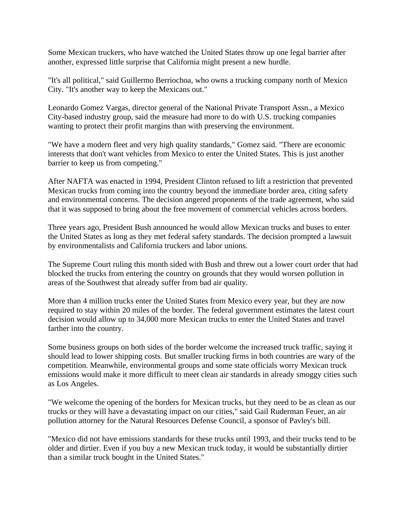Some Mexican truckers, who have watched the United States throw up one legal barrier after another, expressed little surprise that California might present a new hurdle.

"It's all political," said Guillermo Berriochoa, who owns a trucking company north of Mexico City. "It's another way to keep the Mexicans out."

Leonardo Gomez Vargas, director general of the National Private Transport Assn., a Mexico City-based industry group, said the measure had more to do with U.S. trucking companies wanting to protect their profit margins than with preserving the environment.

"We have a modern fleet and very high quality standards," Gomez said. "There are economic interests that don't want vehicles from Mexico to enter the United States. This is just another barrier to keep us from competing."

After NAFTA was enacted in 1994, President Clinton refused to lift a restriction that prevented Mexican trucks from coming into the country beyond the immediate border area, citing safety and environmental concerns. The decision angered proponents of the trade agreement, who said that it was supposed to bring about the free movement of commercial vehicles across borders.

Three years ago, President Bush announced he would allow Mexican trucks and buses to enter the United States as long as they met federal safety standards. The decision prompted a lawsuit by environmentalists and California truckers and labor unions.

The Supreme Court ruling this month sided with Bush and threw out a lower court order that had blocked the trucks from entering the country on grounds that they would worsen pollution in areas of the Southwest that already suffer from bad air quality.

More than 4 million trucks enter the United States from Mexico every year, but they are now required to stay within 20 miles of the border. The federal government estimates the latest court decision would allow up to 34,000 more Mexican trucks to enter the United States and travel farther into the country.

Some business groups on both sides of the border welcome the increased truck traffic, saying it should lead to lower shipping costs. But smaller trucking firms in both countries are wary of the competition. Meanwhile, environmental groups and some state officials worry Mexican truck emissions would make it more difficult to meet clean air standards in already smoggy cities such as Los Angeles.

"We welcome the opening of the borders for Mexican trucks, but they need to be as clean as our trucks or they will have a devastating impact on our cities," said Gail Ruderman Feuer, an air pollution attorney for the Natural Resources Defense Council, a sponsor of Pavley's bill.

"Mexico did not have emissions standards for these trucks until 1993, and their trucks tend to be older and dirtier. Even if you buy a new Mexican truck today, it would be substantially dirtier than a similar truck bought in the United States."